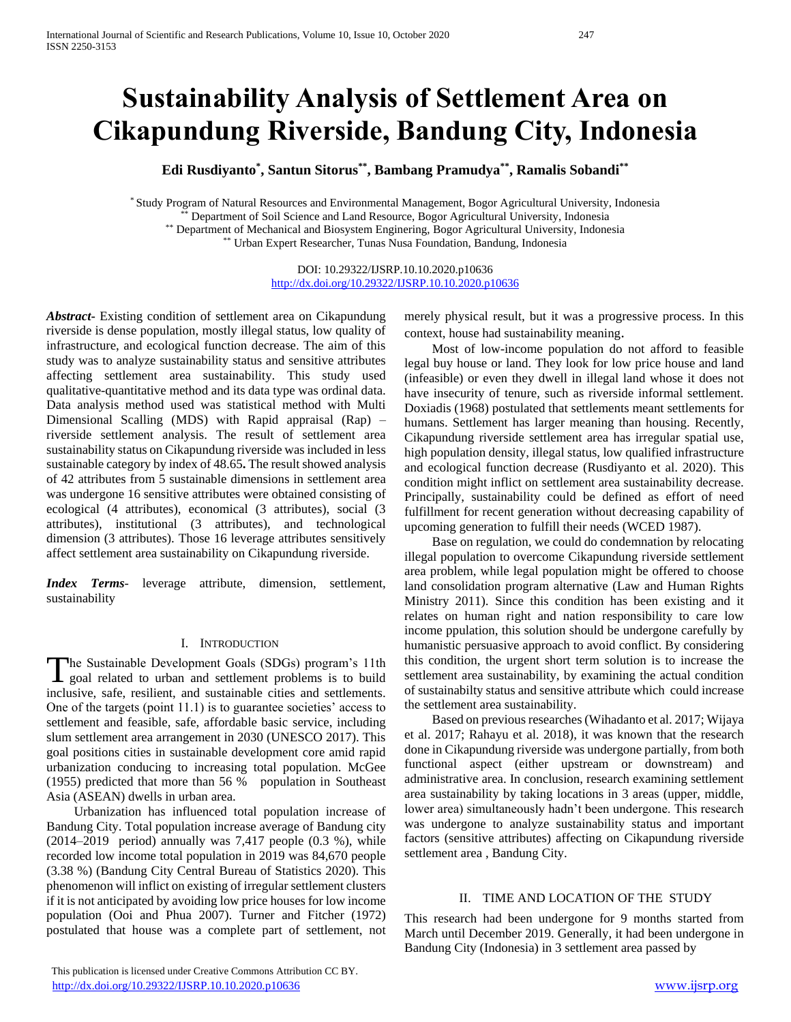# **Sustainability Analysis of Settlement Area on Cikapundung Riverside, Bandung City, Indonesia**

**Edi Rusdiyanto\* , Santun Sitorus\*\* , Bambang Pramudya\*\*, Ramalis Sobandi\*\***

\* Study Program of Natural Resources and Environmental Management, Bogor Agricultural University, Indonesia \*\* Department of Soil Science and Land Resource, Bogor Agricultural University, Indonesia \*\* Department of Mechanical and Biosystem Enginering, Bogor Agricultural University, Indonesia \*\* Urban Expert Researcher, Tunas Nusa Foundation, Bandung, Indonesia

> DOI: 10.29322/IJSRP.10.10.2020.p10636 <http://dx.doi.org/10.29322/IJSRP.10.10.2020.p10636>

*Abstract***-** Existing condition of settlement area on Cikapundung riverside is dense population, mostly illegal status, low quality of infrastructure, and ecological function decrease. The aim of this study was to analyze sustainability status and sensitive attributes affecting settlement area sustainability. This study used qualitative-quantitative method and its data type was ordinal data. Data analysis method used was statistical method with Multi Dimensional Scalling (MDS) with Rapid appraisal (Rap) – riverside settlement analysis. The result of settlement area sustainability status on Cikapundung riverside was included in less sustainable category by index of 48.65**.** The result showed analysis of 42 attributes from 5 sustainable dimensions in settlement area was undergone 16 sensitive attributes were obtained consisting of ecological (4 attributes), economical (3 attributes), social (3 attributes), institutional (3 attributes), and technological dimension (3 attributes). Those 16 leverage attributes sensitively affect settlement area sustainability on Cikapundung riverside.

*Index Terms*- leverage attribute, dimension, settlement, sustainability

#### I. INTRODUCTION

he Sustainable Development Goals (SDGs) program's 11th The Sustainable Development Goals (SDGs) program's 11th<br>goal related to urban and settlement problems is to build inclusive, safe, resilient, and sustainable cities and settlements. One of the targets (point 11.1) is to guarantee societies' access to settlement and feasible, safe, affordable basic service, including slum settlement area arrangement in 2030 (UNESCO 2017). This goal positions cities in sustainable development core amid rapid urbanization conducing to increasing total population. McGee (1955) predicted that more than 56 % population in Southeast Asia (ASEAN) dwells in urban area.

Urbanization has influenced total population increase of Bandung City. Total population increase average of Bandung city  $(2014–2019$  period) annually was 7,417 people  $(0.3 \%)$ , while recorded low income total population in 2019 was 84,670 people (3.38 %) (Bandung City Central Bureau of Statistics 2020). This phenomenon will inflict on existing of irregular settlement clusters if it is not anticipated by avoiding low price houses for low income population (Ooi and Phua 2007). Turner and Fitcher (1972) postulated that house was a complete part of settlement, not merely physical result, but it was a progressive process. In this context, house had sustainability meaning.

Most of low-income population do not afford to feasible legal buy house or land. They look for low price house and land (infeasible) or even they dwell in illegal land whose it does not have insecurity of tenure, such as riverside informal settlement. Doxiadis (1968) postulated that settlements meant settlements for humans. Settlement has larger meaning than housing. Recently, Cikapundung riverside settlement area has irregular spatial use, high population density, illegal status, low qualified infrastructure and ecological function decrease (Rusdiyanto et al. 2020). This condition might inflict on settlement area sustainability decrease. Principally, sustainability could be defined as effort of need fulfillment for recent generation without decreasing capability of upcoming generation to fulfill their needs (WCED 1987).

Base on regulation, we could do condemnation by relocating illegal population to overcome Cikapundung riverside settlement area problem, while legal population might be offered to choose land consolidation program alternative (Law and Human Rights Ministry 2011). Since this condition has been existing and it relates on human right and nation responsibility to care low income ppulation, this solution should be undergone carefully by humanistic persuasive approach to avoid conflict. By considering this condition, the urgent short term solution is to increase the settlement area sustainability, by examining the actual condition of sustainabilty status and sensitive attribute which could increase the settlement area sustainability.

Based on previous researches (Wihadanto et al. 2017; Wijaya et al. 2017; Rahayu et al. 2018), it was known that the research done in Cikapundung riverside was undergone partially, from both functional aspect (either upstream or downstream) and administrative area. In conclusion, research examining settlement area sustainability by taking locations in 3 areas (upper, middle, lower area) simultaneously hadn't been undergone. This research was undergone to analyze sustainability status and important factors (sensitive attributes) affecting on Cikapundung riverside settlement area , Bandung City.

## II. TIME AND LOCATION OF THE STUDY

This research had been undergone for 9 months started from March until December 2019. Generally, it had been undergone in Bandung City (Indonesia) in 3 settlement area passed by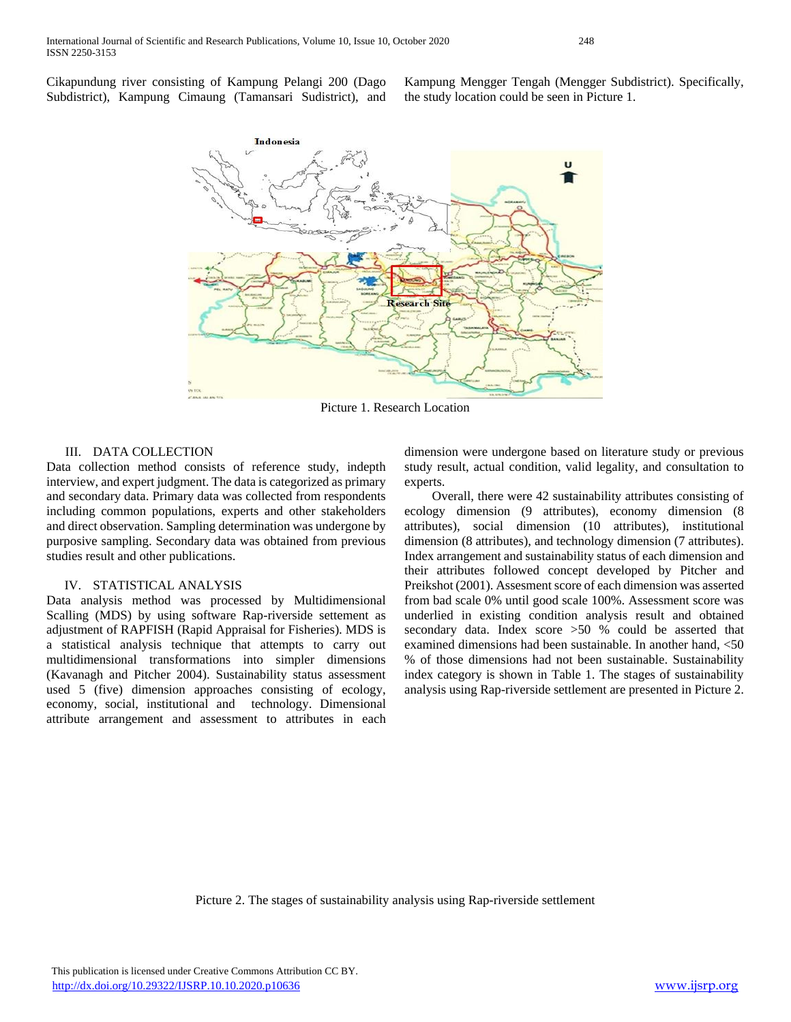Cikapundung river consisting of Kampung Pelangi 200 (Dago Subdistrict), Kampung Cimaung (Tamansari Sudistrict), and Kampung Mengger Tengah (Mengger Subdistrict). Specifically, the study location could be seen in Picture 1.



Picture 1. Research Location

## III. DATA COLLECTION

Data collection method consists of reference study, indepth interview, and expert judgment. The data is categorized as primary and secondary data. Primary data was collected from respondents including common populations, experts and other stakeholders and direct observation. Sampling determination was undergone by purposive sampling. Secondary data was obtained from previous studies result and other publications.

#### IV. STATISTICAL ANALYSIS

Data analysis method was processed by Multidimensional Scalling (MDS) by using software Rap-riverside settement as adjustment of RAPFISH (Rapid Appraisal for Fisheries). MDS is a statistical analysis technique that attempts to carry out multidimensional transformations into simpler dimensions (Kavanagh and Pitcher 2004). Sustainability status assessment used 5 (five) dimension approaches consisting of ecology, economy, social, institutional and technology. Dimensional attribute arrangement and assessment to attributes in each dimension were undergone based on literature study or previous study result, actual condition, valid legality, and consultation to experts.

Overall, there were 42 sustainability attributes consisting of ecology dimension (9 attributes), economy dimension (8 attributes), social dimension (10 attributes), institutional dimension (8 attributes), and technology dimension (7 attributes). Index arrangement and sustainability status of each dimension and their attributes followed concept developed by Pitcher and Preikshot (2001). Assesment score of each dimension was asserted from bad scale 0% until good scale 100%. Assessment score was underlied in existing condition analysis result and obtained secondary data. Index score >50 % could be asserted that examined dimensions had been sustainable. In another hand, <50 % of those dimensions had not been sustainable. Sustainability index category is shown in Table 1. The stages of sustainability analysis using Rap-riverside settlement are presented in Picture 2.

Picture 2. The stages of sustainability analysis using Rap-riverside settlement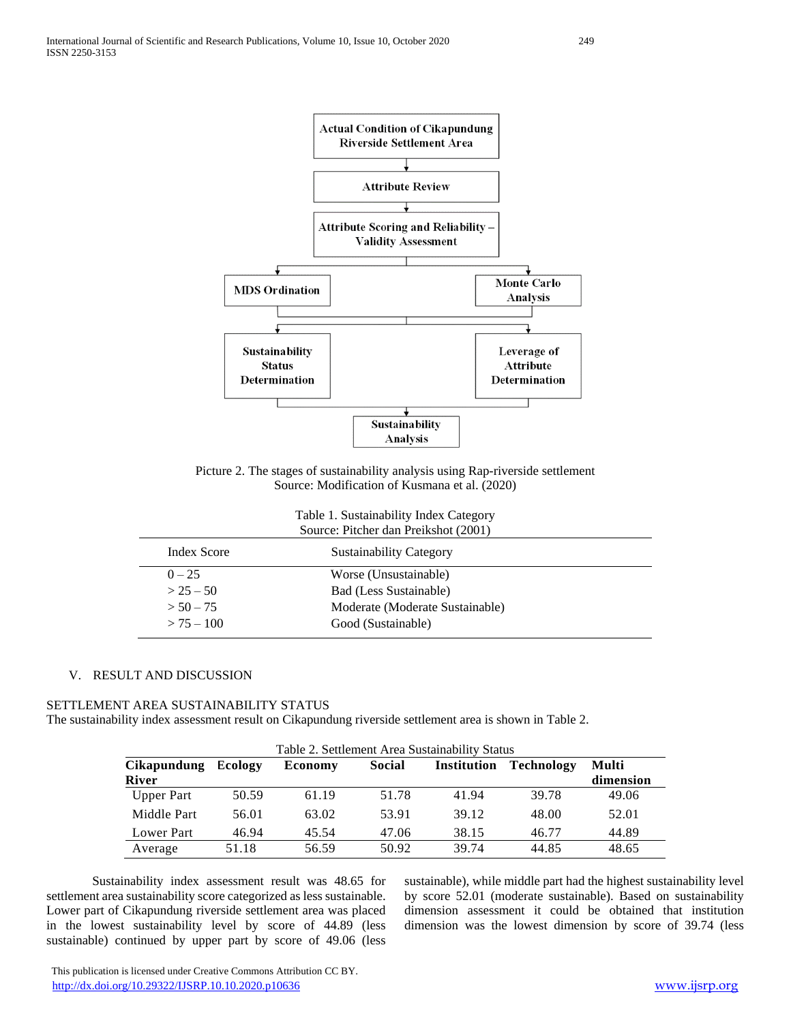

Picture 2. The stages of sustainability analysis using Rap-riverside settlement Source: Modification of Kusmana et al. (2020)

Table 1. Sustainability Index Category

| Source: Pitcher dan Preikshot (2001) |                                 |  |  |
|--------------------------------------|---------------------------------|--|--|
| Index Score                          | <b>Sustainability Category</b>  |  |  |
| $0 - 25$                             | Worse (Unsustainable)           |  |  |
| $> 25 - 50$                          | Bad (Less Sustainable)          |  |  |
| $> 50 - 75$                          | Moderate (Moderate Sustainable) |  |  |
| $> 75 - 100$                         | Good (Sustainable)              |  |  |
|                                      |                                 |  |  |

## V. RESULT AND DISCUSSION

#### SETTLEMENT AREA SUSTAINABILITY STATUS

The sustainability index assessment result on Cikapundung riverside settlement area is shown in Table 2.

| Table 2. Settlement Area Sustainability Status |         |                |        |             |                   |           |
|------------------------------------------------|---------|----------------|--------|-------------|-------------------|-----------|
| <b>Cikapundung</b>                             | Ecology | <b>Economy</b> | Social | Institution | <b>Technology</b> | Multi     |
| <b>River</b>                                   |         |                |        |             |                   | dimension |
| <b>Upper Part</b>                              | 50.59   | 61.19          | 51.78  | 41.94       | 39.78             | 49.06     |
| Middle Part                                    | 56.01   | 63.02          | 53.91  | 39.12       | 48.00             | 52.01     |
| Lower Part                                     | 46.94   | 45.54          | 47.06  | 38.15       | 46.77             | 44.89     |
| Average                                        | 51.18   | 56.59          | 50.92  | 39.74       | 44.85             | 48.65     |

Sustainability index assessment result was 48.65 for settlement area sustainability score categorized as less sustainable. Lower part of Cikapundung riverside settlement area was placed in the lowest sustainability level by score of 44.89 (less sustainable) continued by upper part by score of 49.06 (less

sustainable), while middle part had the highest sustainability level by score 52.01 (moderate sustainable). Based on sustainability dimension assessment it could be obtained that institution dimension was the lowest dimension by score of 39.74 (less

 This publication is licensed under Creative Commons Attribution CC BY. <http://dx.doi.org/10.29322/IJSRP.10.10.2020.p10636> [www.ijsrp.org](http://ijsrp.org/)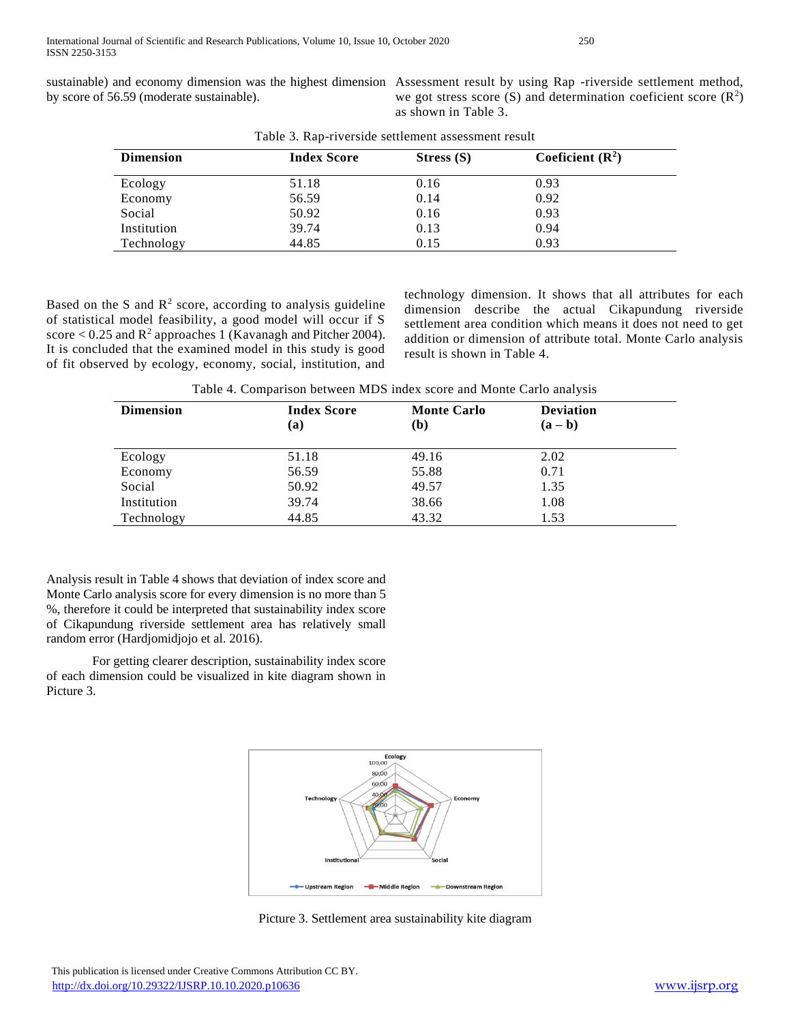by score of 56.59 (moderate sustainable).

sustainable) and economy dimension was the highest dimension Assessment result by using Rap -riverside settlement method, we got stress score  $(S)$  and determination coeficient score  $(R<sup>2</sup>)$ as shown in Table 3.

| <b>Dimension</b> | <b>Index Score</b> | Stress $(S)$ | Coeficient $(\mathbb{R}^2)$ |
|------------------|--------------------|--------------|-----------------------------|
| Ecology          | 51.18              | 0.16         | 0.93                        |
| Economy          | 56.59              | 0.14         | 0.92                        |
| Social           | 50.92              | 0.16         | 0.93                        |
| Institution      | 39.74              | 0.13         | 0.94                        |
| Technology       | 44.85              | 0.15         | 0.93                        |

Table 3. Rap-riverside settlement assessment result

Based on the S and  $\mathbb{R}^2$  score, according to analysis guideline of statistical model feasibility, a good model will occur if S score  $< 0.25$  and  $R^2$  approaches 1 (Kavanagh and Pitcher 2004). It is concluded that the examined model in this study is good of fit observed by ecology, economy, social, institution, and

technology dimension. It shows that all attributes for each dimension describe the actual Cikapundung riverside settlement area condition which means it does not need to get addition or dimension of attribute total. Monte Carlo analysis result is shown in Table 4.

Table 4. Comparison between MDS index score and Monte Carlo analysis

| <b>Dimension</b> | <b>Index Score</b><br>(a) | <b>Monte Carlo</b><br>(b) | <b>Deviation</b><br>$(a - b)$ |
|------------------|---------------------------|---------------------------|-------------------------------|
| Ecology          | 51.18                     | 49.16                     | 2.02                          |
| Economy          | 56.59                     | 55.88                     | 0.71                          |
| Social           | 50.92                     | 49.57                     | 1.35                          |
| Institution      | 39.74                     | 38.66                     | 1.08                          |
| Technology       | 44.85                     | 43.32                     | 1.53                          |

Analysis result in Table 4 shows that deviation of index score and Monte Carlo analysis score for every dimension is no more than 5 %, therefore it could be interpreted that sustainability index score of Cikapundung riverside settlement area has relatively small random error (Hardjomidjojo et al. 2016).

For getting clearer description, sustainability index score of each dimension could be visualized in kite diagram shown in Picture 3.



Picture 3. Settlement area sustainability kite diagram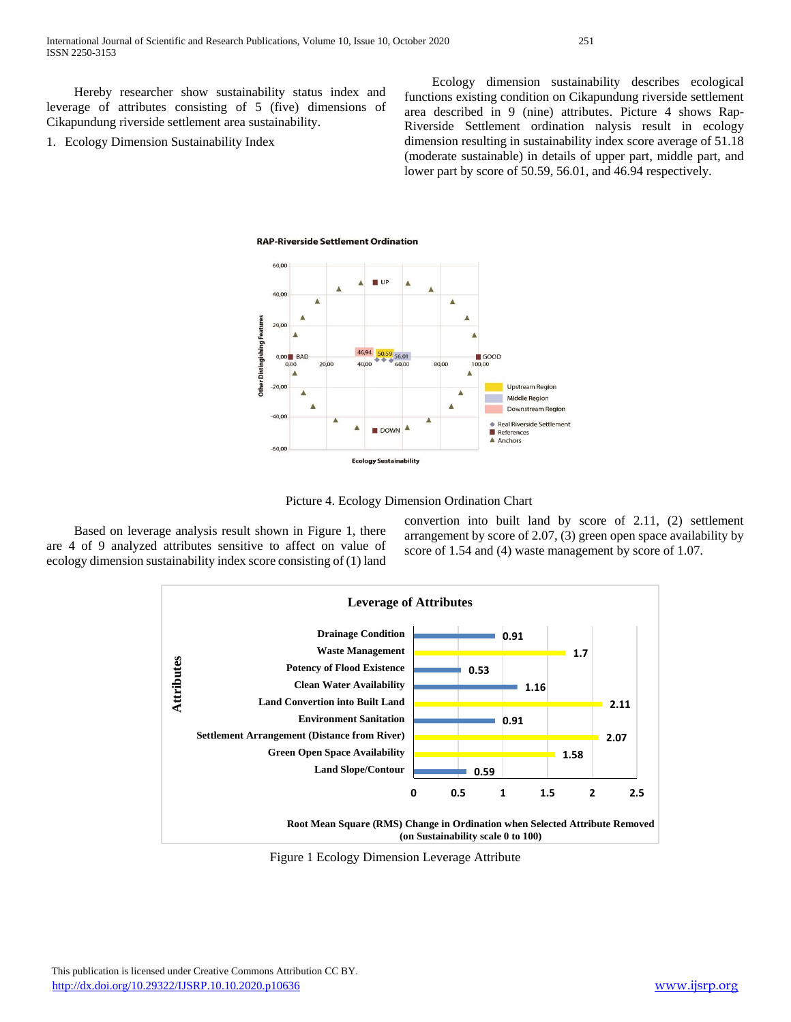Hereby researcher show sustainability status index and leverage of attributes consisting of 5 (five) dimensions of Cikapundung riverside settlement area sustainability.

1. Ecology Dimension Sustainability Index

Ecology dimension sustainability describes ecological functions existing condition on Cikapundung riverside settlement area described in 9 (nine) attributes. Picture 4 shows Rap-Riverside Settlement ordination nalysis result in ecology dimension resulting in sustainability index score average of 51.18 (moderate sustainable) in details of upper part, middle part, and lower part by score of 50.59, 56.01, and 46.94 respectively.







Based on leverage analysis result shown in Figure 1, there are 4 of 9 analyzed attributes sensitive to affect on value of ecology dimension sustainability index score consisting of (1) land convertion into built land by score of 2.11, (2) settlement arrangement by score of 2.07, (3) green open space availability by score of 1.54 and (4) waste management by score of 1.07.



Figure 1 Ecology Dimension Leverage Attribute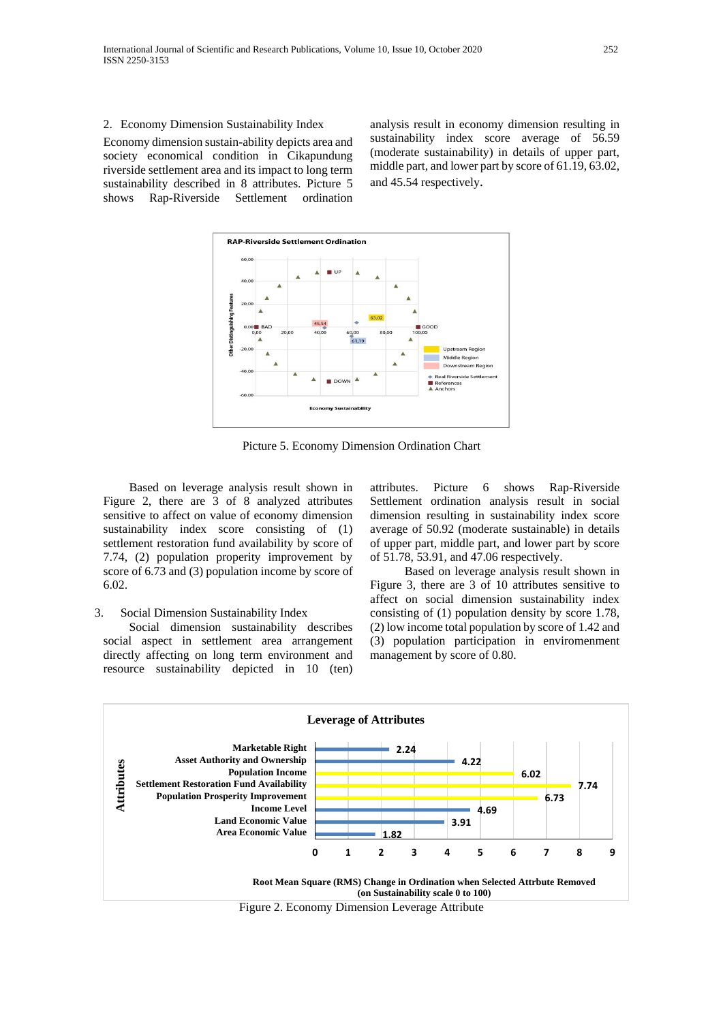2. Economy Dimension Sustainability Index

Economy dimension sustain-ability depicts area and society economical condition in Cikapundung riverside settlement area and its impact to long term sustainability described in 8 attributes. Picture 5 shows Rap-Riverside Settlement ordination analysis result in economy dimension resulting in sustainability index score average of 56.59 (moderate sustainability) in details of upper part, middle part, and lower part by score of 61.19, 63.02, and 45.54 respectively.



Picture 5. Economy Dimension Ordination Chart

Based on leverage analysis result shown in Figure 2, there are 3 of 8 analyzed attributes sensitive to affect on value of economy dimension sustainability index score consisting of (1) settlement restoration fund availability by score of 7.74, (2) population properity improvement by score of 6.73 and (3) population income by score of 6.02.

#### 3. Social Dimension Sustainability Index

Social dimension sustainability describes social aspect in settlement area arrangement directly affecting on long term environment and resource sustainability depicted in 10 (ten) attributes. Picture 6 shows Rap-Riverside Settlement ordination analysis result in social dimension resulting in sustainability index score average of 50.92 (moderate sustainable) in details of upper part, middle part, and lower part by score of 51.78, 53.91, and 47.06 respectively.

Based on leverage analysis result shown in Figure 3, there are 3 of 10 attributes sensitive to affect on social dimension sustainability index consisting of (1) population density by score 1.78, (2) low income total population by score of 1.42 and (3) population participation in enviromenment management by score of 0.80.

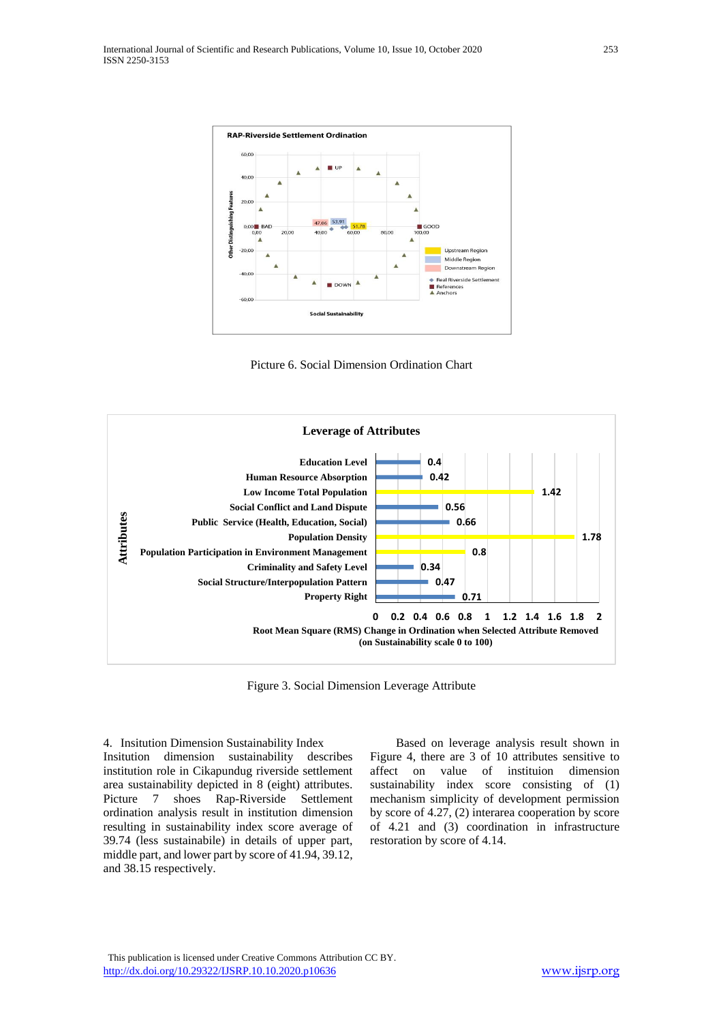

Picture 6. Social Dimension Ordination Chart



Figure 3. Social Dimension Leverage Attribute

4. Insitution Dimension Sustainability Index Insitution dimension sustainability describes institution role in Cikapundug riverside settlement area sustainability depicted in 8 (eight) attributes. Picture 7 shoes Rap-Riverside Settlement ordination analysis result in institution dimension resulting in sustainability index score average of 39.74 (less sustainabile) in details of upper part, middle part, and lower part by score of 41.94, 39.12, and 38.15 respectively.

Based on leverage analysis result shown in Figure 4, there are 3 of 10 attributes sensitive to affect on value of instituion dimension sustainability index score consisting of (1) mechanism simplicity of development permission by score of 4.27, (2) interarea cooperation by score of 4.21 and (3) coordination in infrastructure restoration by score of 4.14.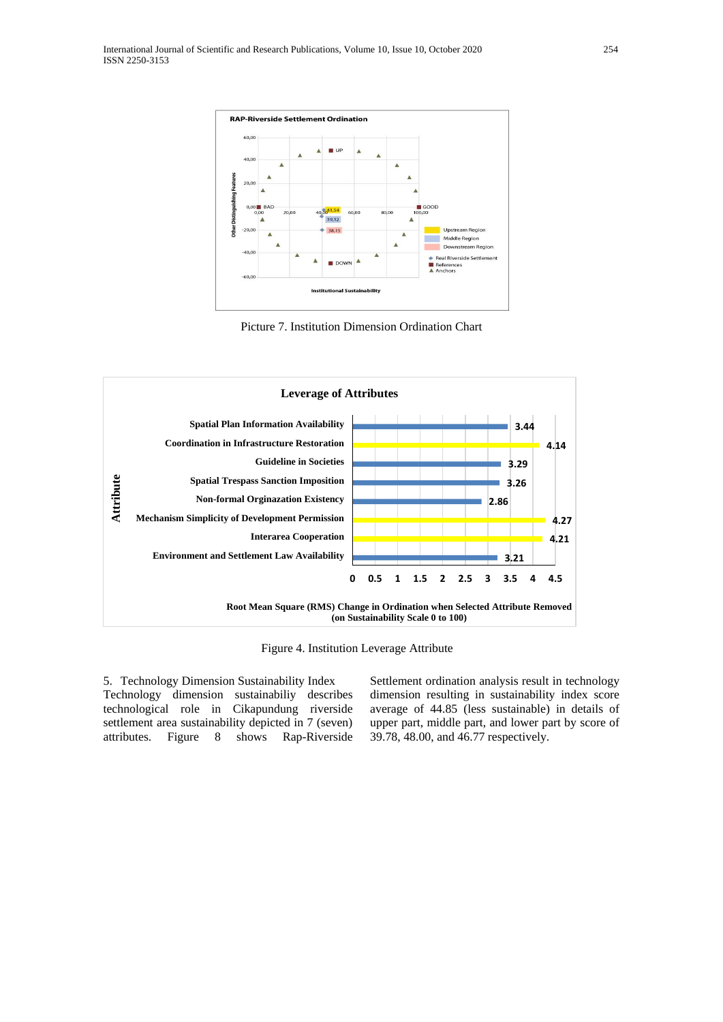

Picture 7. Institution Dimension Ordination Chart



Figure 4. Institution Leverage Attribute

5. Technology Dimension Sustainability Index Technology dimension sustainabiliy describes technological role in Cikapundung riverside settlement area sustainability depicted in 7 (seven) attributes. Figure 8 shows Rap-Riverside Settlement ordination analysis result in technology dimension resulting in sustainability index score average of 44.85 (less sustainable) in details of upper part, middle part, and lower part by score of 39.78, 48.00, and 46.77 respectively.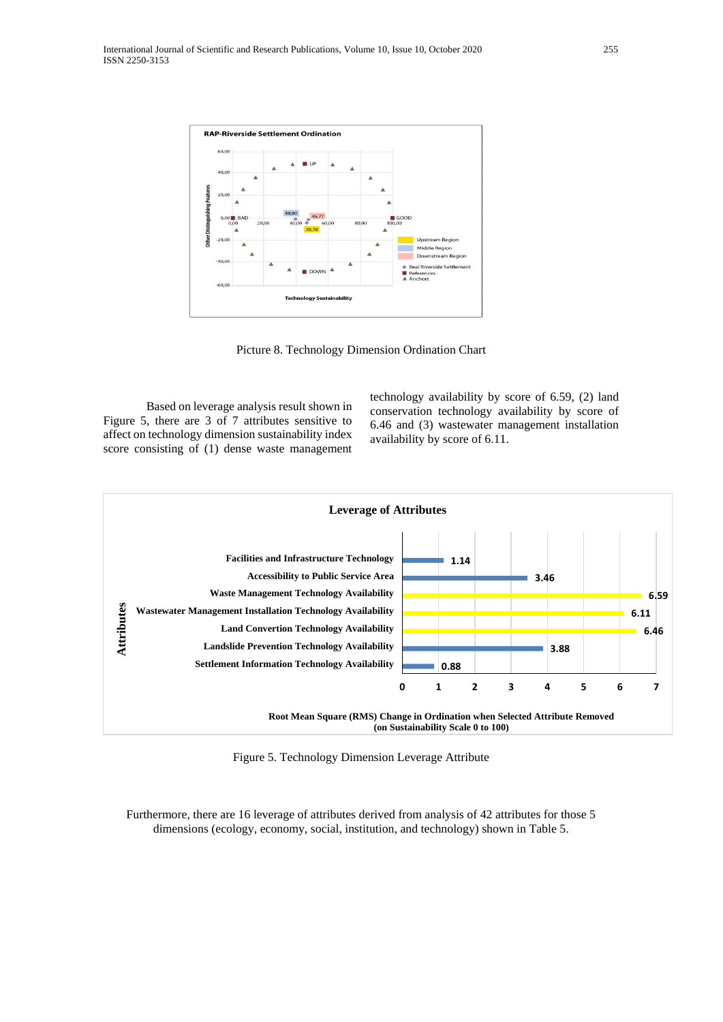

Picture 8. Technology Dimension Ordination Chart

Based on leverage analysis result shown in Figure 5, there are 3 of 7 attributes sensitive to affect on technology dimension sustainability index score consisting of (1) dense waste management technology availability by score of 6.59, (2) land conservation technology availability by score of 6.46 and (3) wastewater management installation availability by score of 6.11.



Figure 5. Technology Dimension Leverage Attribute

Furthermore, there are 16 leverage of attributes derived from analysis of 42 attributes for those 5 dimensions (ecology, economy, social, institution, and technology) shown in Table 5.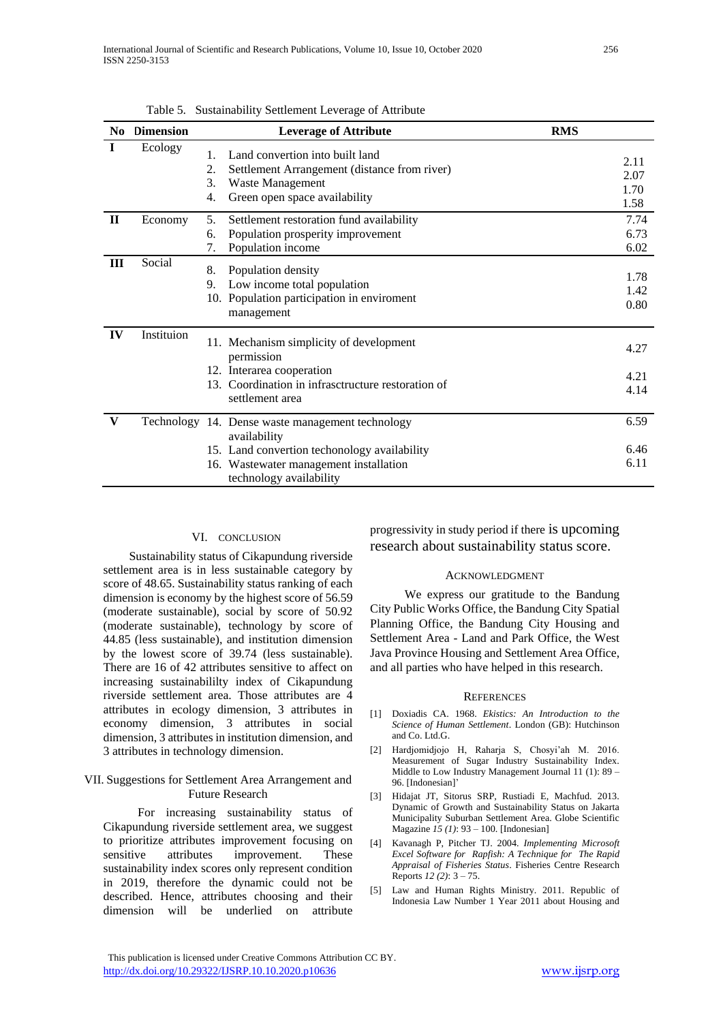| No.          | <b>Dimension</b> | <b>Leverage of Attribute</b>                                                                                                                                                          | <b>RMS</b>                   |
|--------------|------------------|---------------------------------------------------------------------------------------------------------------------------------------------------------------------------------------|------------------------------|
| $\bf{I}$     | Ecology          | Land convertion into built land<br>$1_{-}$<br>2.<br>Settlement Arrangement (distance from river)<br>3.<br>Waste Management<br>Green open space availability<br>4.                     | 2.11<br>2.07<br>1.70<br>1.58 |
| $\mathbf{H}$ | Economy          | 5.<br>Settlement restoration fund availability<br>Population prosperity improvement<br>6.<br>7.<br>Population income                                                                  | 7.74<br>6.73<br>6.02         |
| Ш            | Social           | 8.<br>Population density<br>Low income total population<br>9.<br>10. Population participation in enviroment<br>management                                                             | 1.78<br>1.42<br>0.80         |
| IV           | Instituion       | 11. Mechanism simplicity of development<br>permission<br>12. Interarea cooperation<br>13. Coordination in infrasctructure restoration of<br>settlement area                           | 4.27<br>4.21<br>4.14         |
| V            |                  | Technology 14. Dense waste management technology<br>availability<br>15. Land convertion techonology availability<br>16. Wastewater management installation<br>technology availability | 6.59<br>6.46<br>6.11         |

Table 5. Sustainability Settlement Leverage of Attribute

## VI. CONCLUSION

Sustainability status of Cikapundung riverside settlement area is in less sustainable category by score of 48.65. Sustainability status ranking of each dimension is economy by the highest score of 56.59 (moderate sustainable), social by score of 50.92 (moderate sustainable), technology by score of 44.85 (less sustainable), and institution dimension by the lowest score of 39.74 (less sustainable). There are 16 of 42 attributes sensitive to affect on increasing sustainabililty index of Cikapundung riverside settlement area. Those attributes are 4 attributes in ecology dimension, 3 attributes in economy dimension, 3 attributes in social dimension, 3 attributes in institution dimension, and 3 attributes in technology dimension.

#### VII. Suggestions for Settlement Area Arrangement and Future Research

For increasing sustainability status of Cikapundung riverside settlement area, we suggest to prioritize attributes improvement focusing on sensitive attributes improvement. These sustainability index scores only represent condition in 2019, therefore the dynamic could not be described. Hence, attributes choosing and their dimension will be underlied on attribute

progressivity in study period if there is upcoming research about sustainability status score.

### ACKNOWLEDGMENT

We express our gratitude to the Bandung City Public Works Office, the Bandung City Spatial Planning Office, the Bandung City Housing and Settlement Area - Land and Park Office, the West Java Province Housing and Settlement Area Office, and all parties who have helped in this research.

#### **REFERENCES**

- [1] Doxiadis CA. 1968. *Ekistics: An Introduction to the Science of Human Settlement*. London (GB): Hutchinson and Co. Ltd.G.
- [2] Hardjomidjojo H, Raharja S, Chosyi'ah M. 2016. Measurement of Sugar Industry Sustainability Index. Middle to Low Industry Management Journal 11 (1): 89 – 96. [Indonesian]'
- [3] Hidajat JT, Sitorus SRP, Rustiadi E, Machfud. 2013. Dynamic of Growth and Sustainability Status on Jakarta Municipality Suburban Settlement Area. Globe Scientific Magazine *15 (1)*: 93 – 100. [Indonesian]
- [4] Kavanagh P, Pitcher TJ. 2004. *Implementing Microsoft Excel Software for Rapfish: A Technique for The Rapid Appraisal of Fisheries Status*. Fisheries Centre Research Reports *12 (2)*: 3 – 75.
- [5] Law and Human Rights Ministry. 2011. Republic of Indonesia Law Number 1 Year 2011 about Housing and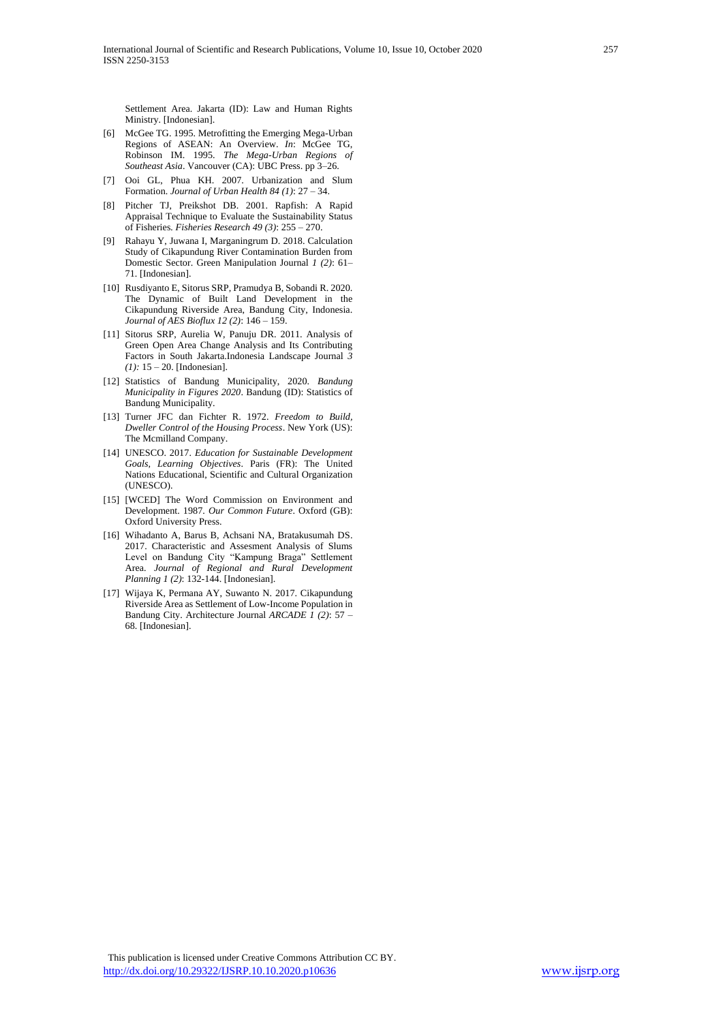Settlement Area. Jakarta (ID): Law and Human Rights Ministry. [Indonesian].

- [6] McGee TG. 1995. Metrofitting the Emerging Mega-Urban Regions of ASEAN: An Overview. *In*: McGee TG, Robinson IM. 1995. *The Mega-Urban Regions of Southeast Asia*. Vancouver (CA): UBC Press. pp 3–26.
- [7] Ooi GL, Phua KH. 2007. Urbanization and Slum Formation. *Journal of Urban Health 84 (1)*: 27 – 34.
- [8] Pitcher TJ, Preikshot DB. 2001. Rapfish: A Rapid Appraisal Technique to Evaluate the Sustainability Status of Fisheries*. Fisheries Research 49 (3)*: 255 – 270.
- [9] Rahayu Y, Juwana I, Marganingrum D. 2018. Calculation Study of Cikapundung River Contamination Burden from Domestic Sector. Green Manipulation Journal *1 (2)*: 61– 71. [Indonesian].
- [10] Rusdiyanto E, Sitorus SRP, Pramudya B, Sobandi R. 2020. The Dynamic of Built Land Development in the Cikapundung Riverside Area, Bandung City, Indonesia. *Journal of AES Bioflux 12 (2)*: 146 – 159.
- [11] Sitorus SRP, Aurelia W, Panuju DR. 2011. Analysis of Green Open Area Change Analysis and Its Contributing Factors in South Jakarta.Indonesia Landscape Journal *3 (1):* 15 – 20. [Indonesian].
- [12] Statistics of Bandung Municipality, 2020. *Bandung Municipality in Figures 2020*. Bandung (ID): Statistics of Bandung Municipality.
- [13] Turner JFC dan Fichter R. 1972. *Freedom to Build, Dweller Control of the Housing Process*. New York (US): The Mcmilland Company.
- [14] UNESCO. 2017. *Education for Sustainable Development Goals, Learning Objectives*. Paris (FR): The United Nations Educational, Scientific and Cultural Organization (UNESCO).
- [15] [WCED] The Word Commission on Environment and Development. 1987. *Our Common Future*. Oxford (GB): Oxford University Press.
- [16] Wihadanto A, Barus B, Achsani NA, Bratakusumah DS. 2017. Characteristic and Assesment Analysis of Slums Level on Bandung City "Kampung Braga" Settlement Area. *Journal of Regional and Rural Development Planning 1 (2)*: 132-144. [Indonesian].
- [17] Wijaya K, Permana AY, Suwanto N, 2017, Cikapundung Riverside Area as Settlement of Low-Income Population in Bandung City. Architecture Journal *ARCADE 1 (2)*: 57 – 68. [Indonesian].